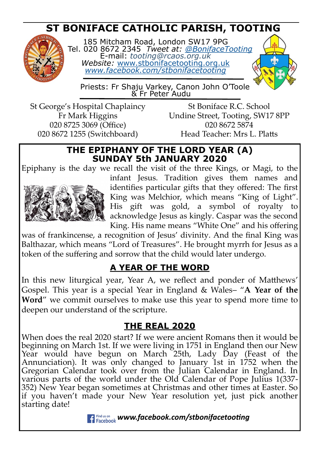# **ST BONIFACE CATHOLIC PARISH, TOOTING**



185 Mitcham Road, London SW17 9PG Tel. 020 8672 2345 *Tweet at: [@BonifaceTooting](http://twitter.com/bonifacetooting)* E-mail: *tooting@rcaos.org.uk Website:* [www.stbonifacetooting.org.uk](http://www.stbonifacetooting.org.uk) *[www.facebook.com/stbonifacetooting](http://www.facebook.com/stbonifacetooting)*



 Priests: Fr Shaju Varkey, Canon John O'Toole & Fr Peter Audu

St George's Hospital Chaplaincy Fr Mark Higgins 020 8725 3069 (Office) 020 8672 1255 (Switchboard)

St Boniface R.C. School Undine Street, Tooting, SW17 8PP 020 8672 5874 Head Teacher: Mrs L. Platts

### **THE EPIPHANY OF THE LORD YEAR (A) SUNDAY 5th JANUARY 2020**

Epiphany is the day we recall the visit of the three Kings, or Magi, to the



infant Jesus. Tradition gives them names and identifies particular gifts that they offered: The first King was Melchior, which means "King of Light". His gift was gold, a symbol of royalty to acknowledge Jesus as kingly. Caspar was the second King. His name means "White One" and his offering

was of frankincense, a recognition of Jesus' divinity. And the final King was Balthazar, which means "Lord of Treasures". He brought myrrh for Jesus as a token of the suffering and sorrow that the child would later undergo.

# **A YEAR OF THE WORD**

In this new liturgical year, Year A, we reflect and ponder of Matthews' Gospel. This year is a special Year in England & Wales– "**A Year of the Word**" we commit ourselves to make use this year to spend more time to deepen our understand of the scripture.

### **THE REAL 2020**

When does the real 2020 start? If we were ancient Romans then it would be beginning on March 1st. If we were living in 1751 in England then our New Year would have begun on March 25th, Lady Day (Feast of the Annunciation). It was only changed to January 1st in 1752 when the Gregorian Calendar took over from the Julian Calendar in England. In various parts of the world under the Old Calendar of Pope Julius 1(337-352) New Year began sometimes at Christmas and other times at Easter. So if you haven't made your New Year resolution yet, just pick another starting date!

*www.facebook.com/stbonifacetooting*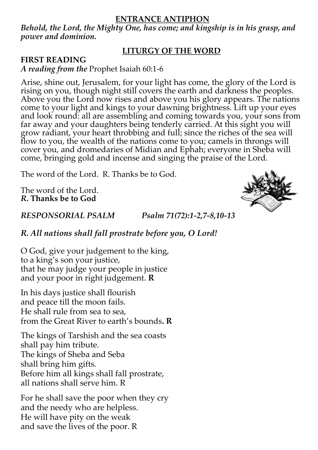#### **ENTRANCE ANTIPHON**

*Behold, the Lord, the Mighty One, has come; and kingship is in his grasp, and power and dominion.* 

#### **LITURGY OF THE WORD**

### **FIRST READING**

*A reading from the* Prophet Isaiah 60:1-6

Arise, shine out, Jerusalem, for your light has come, the glory of the Lord is rising on you, though night still covers the earth and darkness the peoples. Above you the Lord now rises and above you his glory appears. The nations come to your light and kings to your dawning brightness. Lift up your eyes and look round: all are assembling and coming towards you, your sons from far away and your daughters being tenderly carried. At this sight you will grow radiant, your heart throbbing and full; since the riches of the sea will flow to you, the wealth of the nations come to you; camels in throngs will cover you, and dromedaries of Midian and Ephah; everyone in Sheba will come, bringing gold and incense and singing the praise of the Lord.

The word of the Lord. R. Thanks be to God.

The word of the Lord. *R***. Thanks be to God**



*RESPONSORIAL PSALM Psalm 71(72):1-2,7-8,10-13*

*R. All nations shall fall prostrate before you, O Lord!*

O God, give your judgement to the king, to a king's son your justice, that he may judge your people in justice and your poor in right judgement. **R**

In his days justice shall flourish and peace till the moon fails. He shall rule from sea to sea, from the Great River to earth's bounds**. R**

The kings of Tarshish and the sea coasts shall pay him tribute. The kings of Sheba and Seba shall bring him gifts. Before him all kings shall fall prostrate, all nations shall serve him. R

For he shall save the poor when they cry and the needy who are helpless. He will have pity on the weak and save the lives of the poor. R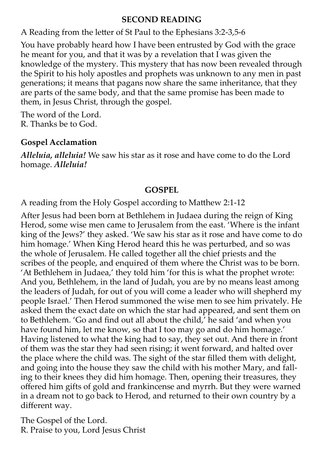#### **SECOND READING**

A Reading from the letter of St Paul to the Ephesians 3:2-3,5-6

You have probably heard how I have been entrusted by God with the grace he meant for you, and that it was by a revelation that I was given the knowledge of the mystery. This mystery that has now been revealed through the Spirit to his holy apostles and prophets was unknown to any men in past generations; it means that pagans now share the same inheritance, that they are parts of the same body, and that the same promise has been made to them, in Jesus Christ, through the gospel.

The word of the Lord. R. Thanks be to God.

### **Gospel Acclamation**

*Alleluia, alleluia!* We saw his star as it rose and have come to do the Lord homage. *Alleluia!*

### **GOSPEL**

A reading from the Holy Gospel according to Matthew 2:1-12

After Jesus had been born at Bethlehem in Judaea during the reign of King Herod, some wise men came to Jerusalem from the east. 'Where is the infant king of the Jews?' they asked. 'We saw his star as it rose and have come to do him homage.' When King Herod heard this he was perturbed, and so was the whole of Jerusalem. He called together all the chief priests and the scribes of the people, and enquired of them where the Christ was to be born. 'At Bethlehem in Judaea,' they told him 'for this is what the prophet wrote: And you, Bethlehem, in the land of Judah, you are by no means least among the leaders of Judah, for out of you will come a leader who will shepherd my people Israel.' Then Herod summoned the wise men to see him privately. He asked them the exact date on which the star had appeared, and sent them on to Bethlehem. 'Go and find out all about the child,' he said 'and when you have found him, let me know, so that I too may go and do him homage.' Having listened to what the king had to say, they set out. And there in front of them was the star they had seen rising; it went forward, and halted over the place where the child was. The sight of the star filled them with delight, and going into the house they saw the child with his mother Mary, and falling to their knees they did him homage. Then, opening their treasures, they offered him gifts of gold and frankincense and myrrh. But they were warned in a dream not to go back to Herod, and returned to their own country by a different way.

The Gospel of the Lord. R. Praise to you, Lord Jesus Christ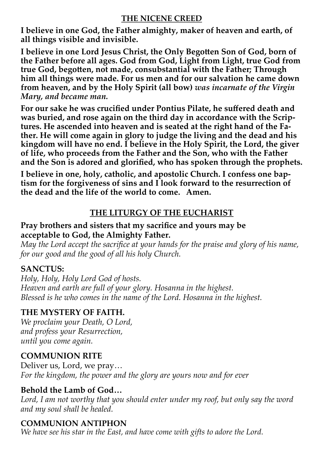#### **THE NICENE CREED**

**I believe in one God, the Father almighty, maker of heaven and earth, of all things visible and invisible.**

**I believe in one Lord Jesus Christ, the Only Begotten Son of God, born of the Father before all ages. God from God, Light from Light, true God from true God, begotten, not made, consubstantial with the Father; Through him all things were made. For us men and for our salvation he came down from heaven, and by the Holy Spirit (all bow)** *was incarnate of the Virgin Mary, and became man.* 

**For our sake he was crucified under Pontius Pilate, he suffered death and was buried, and rose again on the third day in accordance with the Scriptures. He ascended into heaven and is seated at the right hand of the Father. He will come again in glory to judge the living and the dead and his kingdom will have no end. I believe in the Holy Spirit, the Lord, the giver of life, who proceeds from the Father and the Son, who with the Father and the Son is adored and glorified, who has spoken through the prophets.** 

**I believe in one, holy, catholic, and apostolic Church. I confess one baptism for the forgiveness of sins and I look forward to the resurrection of the dead and the life of the world to come. Amen.** 

## **THE LITURGY OF THE EUCHARIST**

#### **Pray brothers and sisters that my sacrifice and yours may be acceptable to God, the Almighty Father.**

*May the Lord accept the sacrifice at your hands for the praise and glory of his name, for our good and the good of all his holy Church.*

## **SANCTUS:**

*Holy, Holy, Holy Lord God of hosts. Heaven and earth are full of your glory. Hosanna in the highest. Blessed is he who comes in the name of the Lord. Hosanna in the highest.* 

### **THE MYSTERY OF FAITH.**

*We proclaim your Death, O Lord, and profess your Resurrection, until you come again.* 

# **COMMUNION RITE**

Deliver us, Lord, we pray… *For the kingdom, the power and the glory are yours now and for ever*

## **Behold the Lamb of God…**

*Lord, I am not worthy that you should enter under my roof, but only say the word and my soul shall be healed.*

## **COMMUNION ANTIPHON**

*We have see his star in the East, and have come with gifts to adore the Lord.*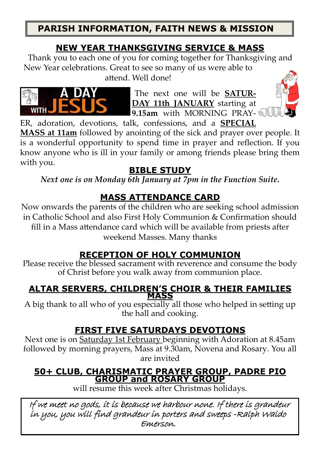# **PARISH INFORMATION, FAITH NEWS & MISSION**

# **NEW YEAR THANKSGIVING SERVICE & MASS**

Thank you to each one of you for coming together for Thanksgiving and New Year celebrations. Great to see so many of us were able to attend. Well done!



The next one will be **SATUR-DAY 11th JANUARY** starting at **9.15am** with MORNING PRAY-



ER, adoration, devotions, talk, confessions, and a **SPECIAL MASS at 11am** followed by anointing of the sick and prayer over people. It is a wonderful opportunity to spend time in prayer and reflection. If you know anyone who is ill in your family or among friends please bring them with you.

# **BIBLE STUDY**

*Next one is on Monday 6th January at 7pm in the Function Suite.*

# **MASS ATTENDANCE CARD**

Now onwards the parents of the children who are seeking school admission in Catholic School and also First Holy Communion & Confirmation should fill in a Mass attendance card which will be available from priests after weekend Masses. Many thanks

# **RECEPTION OF HOLY COMMUNION**

Please receive the blessed sacrament with reverence and consume the body of Christ before you walk away from communion place.

#### **ALTAR SERVERS, CHILDREN'S CHOIR & THEIR FAMILIES MASS**

A big thank to all who of you especially all those who helped in setting up the hall and cooking.

# **FIRST FIVE SATURDAYS DEVOTIONS**

Next one is on Saturday 1st February beginning with Adoration at 8.45am followed by morning prayers, Mass at 9.30am, Novena and Rosary. You all are invited

### **50+ CLUB, CHARISMATIC PRAYER GROUP, PADRE PIO GROUP and ROSARY GROUP**

will resume this week after Christmas holidays.

If we meet no gods, it is because we harbour none. If there is grandeur in you, you will find grandeur in porters and sweeps -Ralph Waldo Emerson.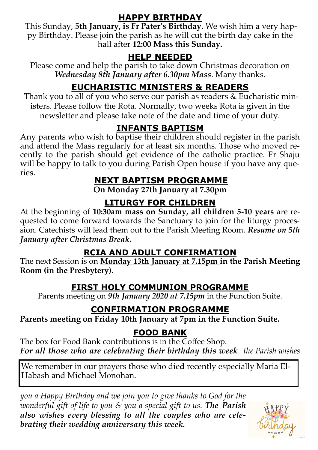# **HAPPY BIRTHDAY**

This Sunday, **5th January, is Fr Pater's Birthday**. We wish him a very happy Birthday. Please join the parish as he will cut the birth day cake in the hall after **12:00 Mass this Sunday.** 

# **HELP NEEDED**

Please come and help the parish to take down Christmas decoration on *Wednesday 8th January after 6.30pm Mass*. Many thanks.

# **EUCHARISTIC MINISTERS & READERS**

Thank you to all of you who serve our parish as readers & Eucharistic ministers. Please follow the Rota. Normally, two weeks Rota is given in the newsletter and please take note of the date and time of your duty.

# **INFANTS BAPTISM**

Any parents who wish to baptise their children should register in the parish and attend the Mass regularly for at least six months. Those who moved recently to the parish should get evidence of the catholic practice. Fr Shaju will be happy to talk to you during Parish Open house if you have any queries.

### **NEXT BAPTISM PROGRAMME**

**On Monday 27th January at 7.30pm**

## **LITURGY FOR CHILDREN**

At the beginning of **10:30am mass on Sunday, all children 5-10 years** are requested to come forward towards the Sanctuary to join for the liturgy procession. Catechists will lead them out to the Parish Meeting Room. *Resume on 5th January after Christmas Break.*

# **RCIA AND ADULT CONFIRMATION**

The next Session is on **Monday 13th January at 7.15pm in the Parish Meeting Room (in the Presbytery).**

## **FIRST HOLY COMMUNION PROGRAMME**

Parents meeting on *9th January 2020 at 7.15pm* in the Function Suite.

## **CONFIRMATION PROGRAMME**

**Parents meeting on Friday 10th January at 7pm in the Function Suite.** 

## **FOOD BANK**

The box for Food Bank contributions is in the Coffee Shop. *For all those who are celebrating their birthday this week the Parish wishes* 

We remember in our prayers those who died recently especially Maria El-Habash and Michael Monohan.

*you a Happy Birthday and we join you to give thanks to God for the wonderful gift of life to you & you a special gift to us. The Parish also wishes every blessing to all the couples who are celebrating their wedding anniversary this week.*

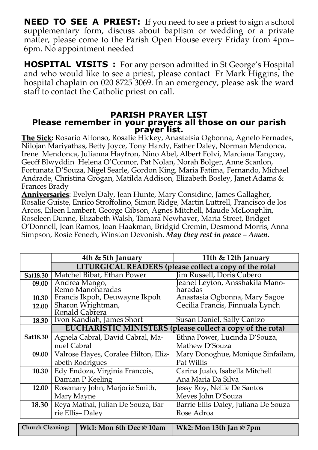**NEED TO SEE A PRIEST:** If you need to see a priest to sign a school supplementary form, discuss about baptism or wedding or a private matter, please come to the Parish Open House every Friday from 4pm– 6pm. No appointment needed

**HOSPITAL VISITS :** For any person admitted in St George's Hospital and who would like to see a priest, please contact Fr Mark Higgins, the hospital chaplain on 020 8725 3069. In an emergency, please ask the ward staff to contact the Catholic priest on call.

#### **PARISH PRAYER LIST Please remember in your prayers all those on our parish prayer list.**

**The Sick:** Rosario Alfonso, Rosalie Hickey, Anastatsia Ogbonna, Agnelo Fernades, Nilojan Mariyathas, Betty Joyce, Tony Hardy, Esther Daley, Norman Mendonca, Irene Mendonca, Julianna Hayfron, Nino Abel, Albert Folvi, Marciana Tangcay, Geoff Blwyddin Helena O'Connor, Pat Nolan, Norah Bolger, Anne Scanlon, Fortunata D'Souza, Nigel Searle, Gordon King, Maria Fatima, Fernando, Michael Andrade, Christina Grogan, Matilda Addison, Elizabeth Bosley, Janet Adams & Frances Brady

**Anniversaries**: Evelyn Daly, Jean Hunte, Mary Considine, James Gallagher, Rosalie Guiste, Enrico Stroffolino, Simon Ridge, Martin Luttrell, Francisco de los Arcos, Eileen Lambert, George Gibson, Agnes Mitchell, Maude McLoughlin, Roseleen Dunne, Elizabeth Walsh, Tamara Newhaver, Maria Street, Bridget O'Donnell, Jean Ramos, Joan Haakman, Bridgid Cremin, Desmond Morris, Anna Simpson, Rosie Fenech, Winston Devonish. *May they rest in peace – Amen.*

|                         | 4th & 5th January                                                  |                                     | 11th & 12th January                  |  |  |
|-------------------------|--------------------------------------------------------------------|-------------------------------------|--------------------------------------|--|--|
|                         | LITURGICAL READERS (please collect a copy of the rota)             |                                     |                                      |  |  |
|                         | Sat18.30   Matchel Bibat, Ethan Power                              |                                     | <u>Jim Russell, Doris Cubero</u>     |  |  |
| 09.00                   |                                                                    | Andrea Mango,<br>Remo Manoharadas   | eanet Leyton, Ansshakila Mano-       |  |  |
|                         |                                                                    |                                     | haradas                              |  |  |
| 10.30                   |                                                                    | Francis Ikpoh, Deuwayne Ikpoh       | Anastasia Ogbonna, Mary Sagoe        |  |  |
| 12.00                   |                                                                    | Sharon Wrightman,<br>Ronald Cabrera | Cecilia Francis, Finnuala Lynch      |  |  |
|                         |                                                                    |                                     |                                      |  |  |
| 18.30                   |                                                                    | Ivon Kandiah, James Short           | Susan Daniel, Sally Canizo           |  |  |
|                         | <b>EUCHARISTIC MINISTERS</b><br>please collect a copy of the rota) |                                     |                                      |  |  |
| <b>Sat18.30</b>         |                                                                    | Agnela Cabral, David Cabral, Ma-    | Ethna Power, Lucinda D'Souza,        |  |  |
|                         | nuel Cabral                                                        |                                     | Mathew D'Souza                       |  |  |
| 09.00                   | Valrose Hayes, Coralee Hilton, Eliz-                               |                                     | Mary Donoghue, Monique Sinfailam,    |  |  |
|                         | abeth Rodrigues                                                    |                                     | Pat Willis                           |  |  |
| 10.30                   |                                                                    | Edy Endoza, Virginia Francois,      | Carina Jualo, Isabella Mitchell      |  |  |
|                         |                                                                    | Damian P Keeling                    | Ana Maria Da Silva                   |  |  |
| 12.00                   | Rosemary John, Marjorie Smith,                                     |                                     | Jessy Roy, Nellie De Santos          |  |  |
|                         | Mary Mayne                                                         |                                     | Meves John D'Souza                   |  |  |
| 18.30                   | Reya Mathai, Julian De Souza, Bar-                                 |                                     | Barrie Ellis-Daley, Juliana De Souza |  |  |
|                         |                                                                    | rie Ellis-Daley                     | Rose Adroa                           |  |  |
|                         |                                                                    |                                     |                                      |  |  |
| <b>Church Cleaning:</b> |                                                                    | Wk1: Mon 6th Dec @ 10am             | Wk2: Mon 13th Jan @ 7pm              |  |  |